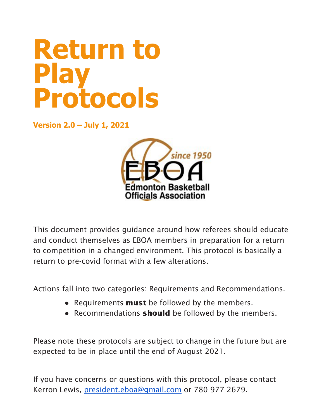# **Return to Play Protocols**

**Version 2.0 – July 1, 2021**



This document provides guidance around how referees should educate and conduct themselves as EBOA members in preparation for a return to competition in a changed environment. This protocol is basically a return to pre-covid format with a few alterations.

Actions fall into two categories: Requirements and Recommendations.

- Requirements **must** be followed by the members.
- Recommendations **should** be followed by the members.

Please note these protocols are subject to change in the future but are expected to be in place until the end of August 2021.

If you have concerns or questions with this protocol, please contact Kerron Lewis, [president.eboa@gmail.com](mailto:president.eboa@gmail.com) or 780-977-2679.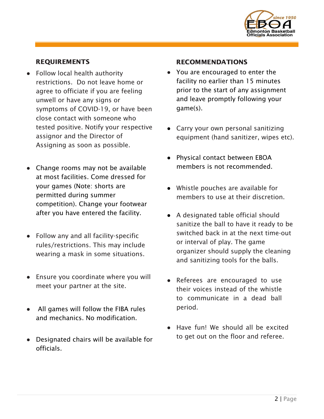

### REQUIREMENTS

- Follow local health authority restrictions. Do not leave home or agree to officiate if you are feeling unwell or have any signs or symptoms of COVID-19, or have been close contact with someone who tested positive. Notify your respective assignor and the Director of Assigning as soon as possible.
- Change rooms may not be available at most facilities. Come dressed for your games (Note: shorts are permitted during summer competition). Change your footwear after you have entered the facility.
- Follow any and all facility-specific rules/restrictions. This may include wearing a mask in some situations.
- Ensure you coordinate where you will meet your partner at the site.
- All games will follow the FIBA rules and mechanics. No modification.
- Designated chairs will be available for officials.

#### RECOMMENDATIONS

- You are encouraged to enter the facility no earlier than 15 minutes prior to the start of any assignment and leave promptly following your game(s).
- Carry your own personal sanitizing equipment (hand sanitizer, wipes etc).
- Physical contact between EBOA members is not recommended.
- Whistle pouches are available for members to use at their discretion.
- A designated table official should sanitize the ball to have it ready to be switched back in at the next time-out or interval of play. The game organizer should supply the cleaning and sanitizing tools for the balls.
- Referees are encouraged to use their voices instead of the whistle to communicate in a dead ball period.
- Have fun! We should all be excited to get out on the floor and referee.